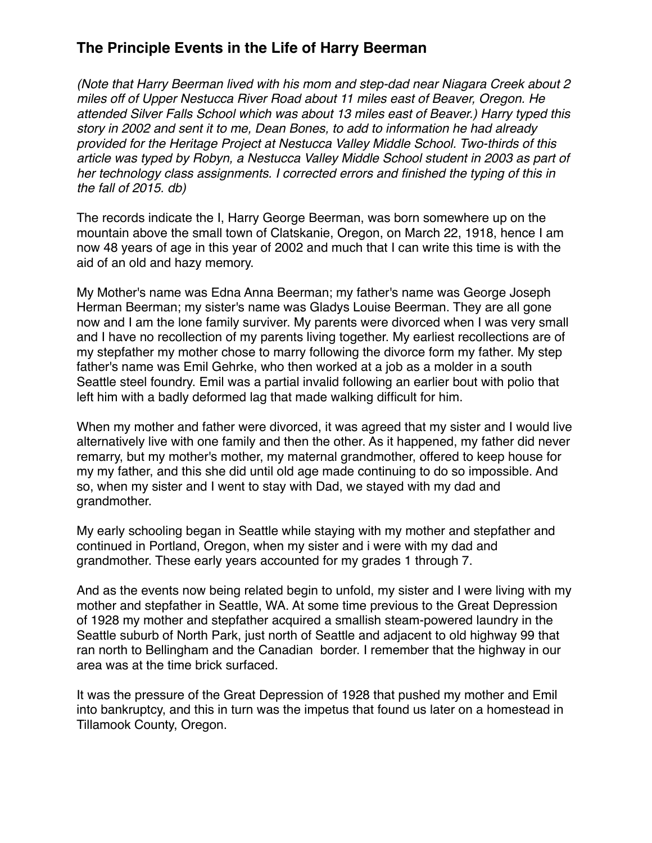*(Note that Harry Beerman lived with his mom and step-dad near Niagara Creek about 2 miles off of Upper Nestucca River Road about 11 miles east of Beaver, Oregon. He attended Silver Falls School which was about 13 miles east of Beaver.) Harry typed this story in 2002 and sent it to me, Dean Bones, to add to information he had already provided for the Heritage Project at Nestucca Valley Middle School. Two-thirds of this article was typed by Robyn, a Nestucca Valley Middle School student in 2003 as part of her technology class assignments. I corrected errors and finished the typing of this in the fall of 2015. db)*

The records indicate the I, Harry George Beerman, was born somewhere up on the mountain above the small town of Clatskanie, Oregon, on March 22, 1918, hence I am now 48 years of age in this year of 2002 and much that I can write this time is with the aid of an old and hazy memory.

My Mother's name was Edna Anna Beerman; my father's name was George Joseph Herman Beerman; my sister's name was Gladys Louise Beerman. They are all gone now and I am the lone family surviver. My parents were divorced when I was very small and I have no recollection of my parents living together. My earliest recollections are of my stepfather my mother chose to marry following the divorce form my father. My step father's name was Emil Gehrke, who then worked at a job as a molder in a south Seattle steel foundry. Emil was a partial invalid following an earlier bout with polio that left him with a badly deformed lag that made walking difficult for him.

When my mother and father were divorced, it was agreed that my sister and I would live alternatively live with one family and then the other. As it happened, my father did never remarry, but my mother's mother, my maternal grandmother, offered to keep house for my my father, and this she did until old age made continuing to do so impossible. And so, when my sister and I went to stay with Dad, we stayed with my dad and grandmother.

My early schooling began in Seattle while staying with my mother and stepfather and continued in Portland, Oregon, when my sister and i were with my dad and grandmother. These early years accounted for my grades 1 through 7.

And as the events now being related begin to unfold, my sister and I were living with my mother and stepfather in Seattle, WA. At some time previous to the Great Depression of 1928 my mother and stepfather acquired a smallish steam-powered laundry in the Seattle suburb of North Park, just north of Seattle and adjacent to old highway 99 that ran north to Bellingham and the Canadian border. I remember that the highway in our area was at the time brick surfaced.

It was the pressure of the Great Depression of 1928 that pushed my mother and Emil into bankruptcy, and this in turn was the impetus that found us later on a homestead in Tillamook County, Oregon.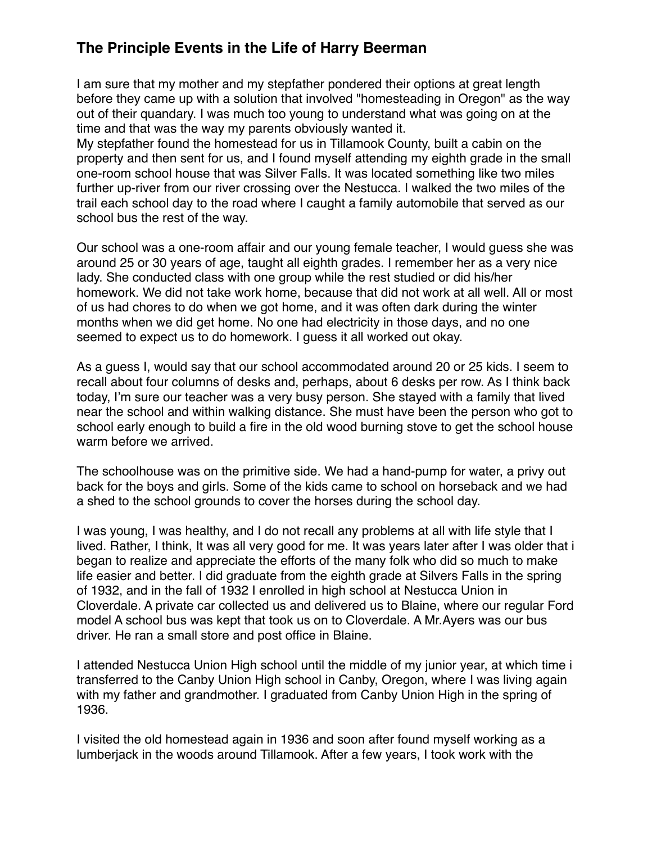I am sure that my mother and my stepfather pondered their options at great length before they came up with a solution that involved "homesteading in Oregon" as the way out of their quandary. I was much too young to understand what was going on at the time and that was the way my parents obviously wanted it.

My stepfather found the homestead for us in Tillamook County, built a cabin on the property and then sent for us, and I found myself attending my eighth grade in the small one-room school house that was Silver Falls. It was located something like two miles further up-river from our river crossing over the Nestucca. I walked the two miles of the trail each school day to the road where I caught a family automobile that served as our school bus the rest of the way.

Our school was a one-room affair and our young female teacher, I would guess she was around 25 or 30 years of age, taught all eighth grades. I remember her as a very nice lady. She conducted class with one group while the rest studied or did his/her homework. We did not take work home, because that did not work at all well. All or most of us had chores to do when we got home, and it was often dark during the winter months when we did get home. No one had electricity in those days, and no one seemed to expect us to do homework. I guess it all worked out okay.

As a guess I, would say that our school accommodated around 20 or 25 kids. I seem to recall about four columns of desks and, perhaps, about 6 desks per row. As I think back today, I'm sure our teacher was a very busy person. She stayed with a family that lived near the school and within walking distance. She must have been the person who got to school early enough to build a fire in the old wood burning stove to get the school house warm before we arrived.

The schoolhouse was on the primitive side. We had a hand-pump for water, a privy out back for the boys and girls. Some of the kids came to school on horseback and we had a shed to the school grounds to cover the horses during the school day.

I was young, I was healthy, and I do not recall any problems at all with life style that I lived. Rather, I think, It was all very good for me. It was years later after I was older that i began to realize and appreciate the efforts of the many folk who did so much to make life easier and better. I did graduate from the eighth grade at Silvers Falls in the spring of 1932, and in the fall of 1932 I enrolled in high school at Nestucca Union in Cloverdale. A private car collected us and delivered us to Blaine, where our regular Ford model A school bus was kept that took us on to Cloverdale. A Mr.Ayers was our bus driver. He ran a small store and post office in Blaine.

I attended Nestucca Union High school until the middle of my junior year, at which time i transferred to the Canby Union High school in Canby, Oregon, where I was living again with my father and grandmother. I graduated from Canby Union High in the spring of 1936.

I visited the old homestead again in 1936 and soon after found myself working as a lumberjack in the woods around Tillamook. After a few years, I took work with the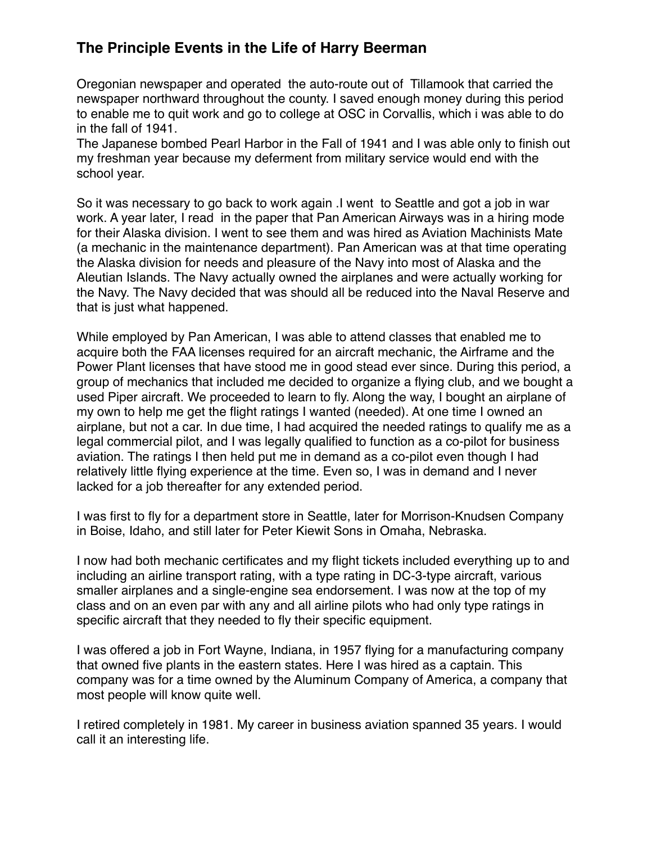Oregonian newspaper and operated the auto-route out of Tillamook that carried the newspaper northward throughout the county. I saved enough money during this period to enable me to quit work and go to college at OSC in Corvallis, which i was able to do in the fall of 1941.

The Japanese bombed Pearl Harbor in the Fall of 1941 and I was able only to finish out my freshman year because my deferment from military service would end with the school year.

So it was necessary to go back to work again .I went to Seattle and got a job in war work. A year later, I read in the paper that Pan American Airways was in a hiring mode for their Alaska division. I went to see them and was hired as Aviation Machinists Mate (a mechanic in the maintenance department). Pan American was at that time operating the Alaska division for needs and pleasure of the Navy into most of Alaska and the Aleutian Islands. The Navy actually owned the airplanes and were actually working for the Navy. The Navy decided that was should all be reduced into the Naval Reserve and that is just what happened.

While employed by Pan American, I was able to attend classes that enabled me to acquire both the FAA licenses required for an aircraft mechanic, the Airframe and the Power Plant licenses that have stood me in good stead ever since. During this period, a group of mechanics that included me decided to organize a flying club, and we bought a used Piper aircraft. We proceeded to learn to fly. Along the way, I bought an airplane of my own to help me get the flight ratings I wanted (needed). At one time I owned an airplane, but not a car. In due time, I had acquired the needed ratings to qualify me as a legal commercial pilot, and I was legally qualified to function as a co-pilot for business aviation. The ratings I then held put me in demand as a co-pilot even though I had relatively little flying experience at the time. Even so, I was in demand and I never lacked for a job thereafter for any extended period.

I was first to fly for a department store in Seattle, later for Morrison-Knudsen Company in Boise, Idaho, and still later for Peter Kiewit Sons in Omaha, Nebraska.

I now had both mechanic certificates and my flight tickets included everything up to and including an airline transport rating, with a type rating in DC-3-type aircraft, various smaller airplanes and a single-engine sea endorsement. I was now at the top of my class and on an even par with any and all airline pilots who had only type ratings in specific aircraft that they needed to fly their specific equipment.

I was offered a job in Fort Wayne, Indiana, in 1957 flying for a manufacturing company that owned five plants in the eastern states. Here I was hired as a captain. This company was for a time owned by the Aluminum Company of America, a company that most people will know quite well.

I retired completely in 1981. My career in business aviation spanned 35 years. I would call it an interesting life.